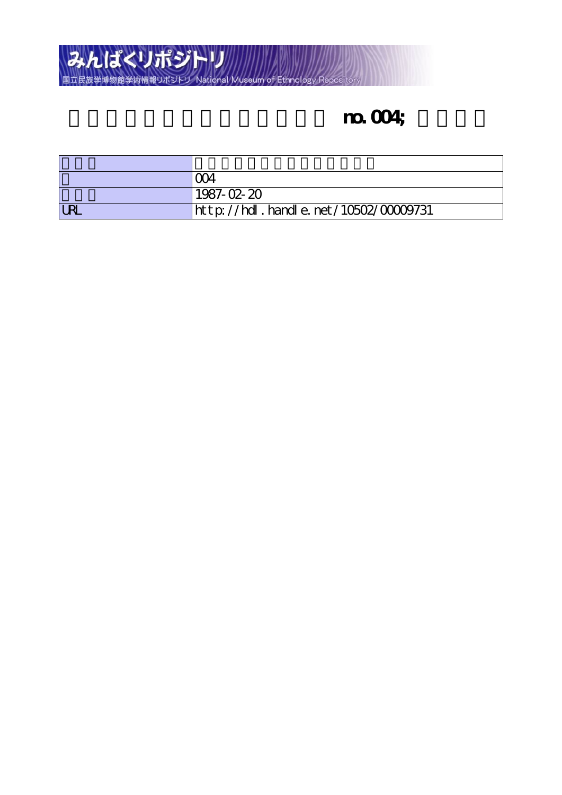

# **no.** 004;

|            | Y)4                                      |
|------------|------------------------------------------|
|            | 1987-02-20                               |
| <b>URL</b> | http://hdl . handl e. net/10502/00009731 |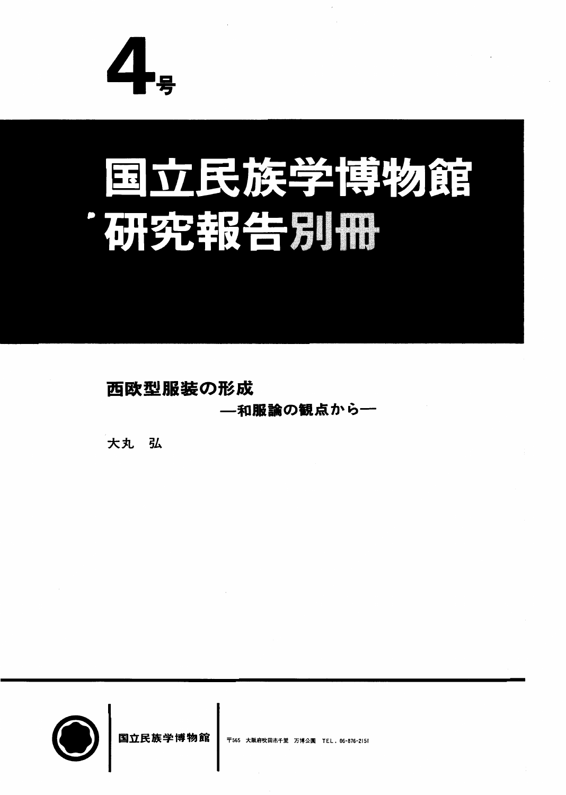

# 国立民族学博物館 研究報告別冊

**西欧型服装の形成** 

一 和服論の観点から一

大丸 弘



国立民族学博物館 | 〒565 大阪府吹田市千里 万博公園 TEL, 06-876-2151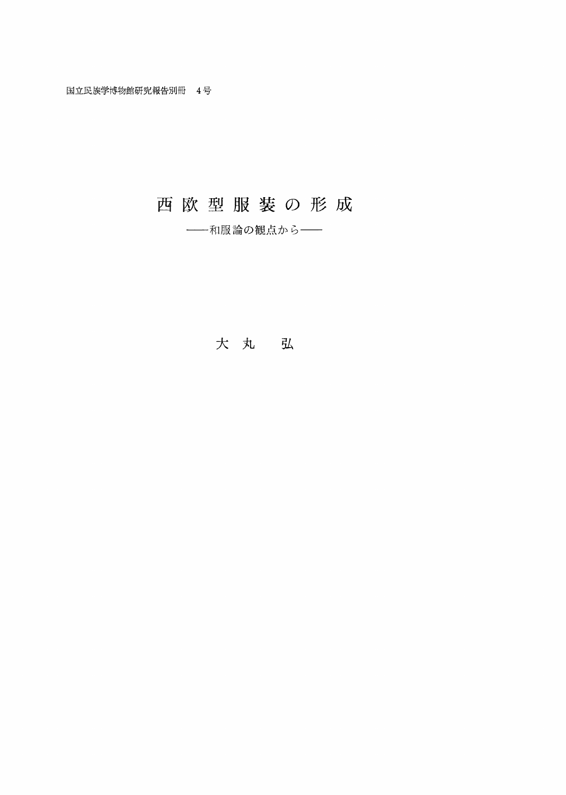## 西欧型服装の形成

-- 和服論の観点から--

### 大 丸 弘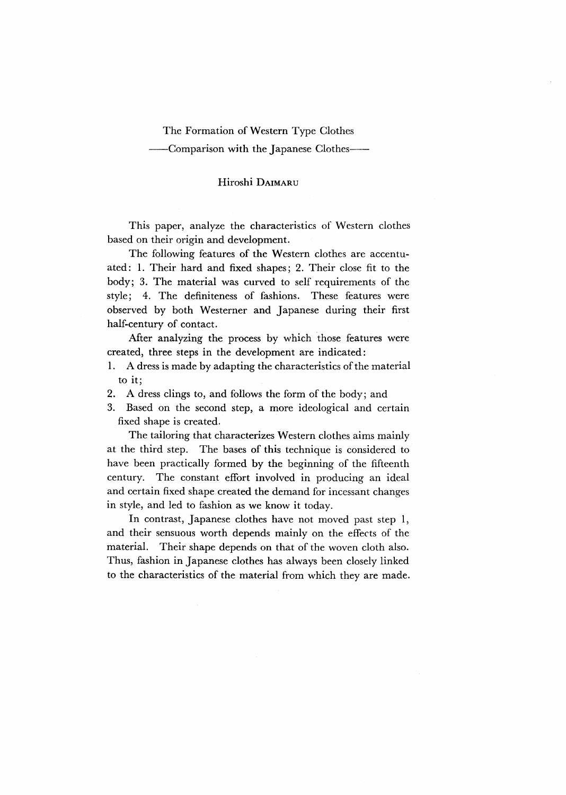#### The Formation of Western Type Clothes

#### -Comparison with the Japanese Clothes-

#### Hiroshi DAIMARU

 This paper, analyze the characteristics of Western clothes based on their origin and development.

The following features of the Western clothes are accentuated: 1. Their hard and fixed shapes; 2. Their close fit to the body; 3. The material was curved to self requirements of the style; 4. The definiteness of fashions. These features were observed by both Westerner and Japanese during their first half-century of contact.

After analyzing the process by which those features were created, three steps in the development are indicated:

- 1. A dress is made by adapting the characteristics of the material to it;
- 2. A dress clings to, and follows the form of the body; and
- 3. Based on the second step, a more ideological and certain fixed shape is created.

The tailoring that characterizes Western clothes aims mainly at the third step. The bases of this technique is considered to have been practically formed by the beginning of the fifteenth century. The constant effort involved in producing an ideal and certain fixed shape created the demand for incessant changes in style, and led to fashion as we know it today.

In contrast, Japanese clothes have not moved past step 1, and their sensuous worth depends mainly on the effects of the material. Their shape depends on that of the woven cloth also. Thus, fashion in Japanese clothes has always been closely linked to the characteristics of the material from which they are made.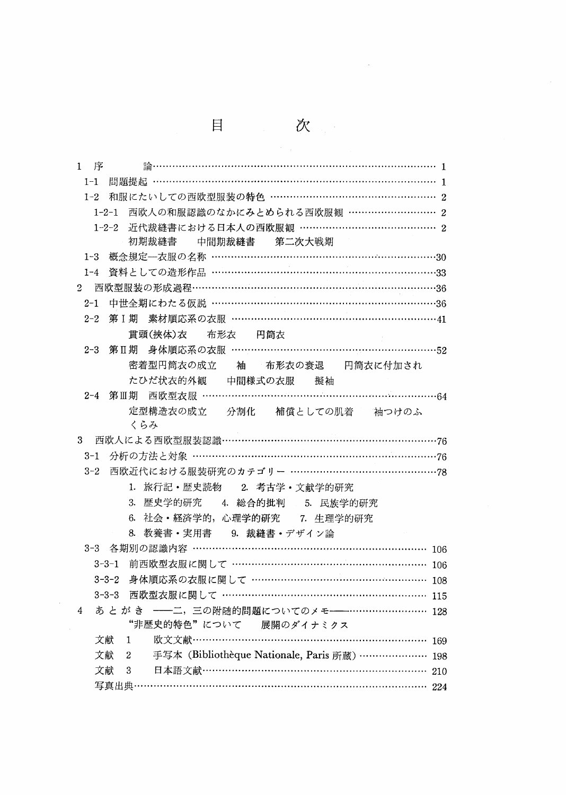|                                                         | 目                                                  | 次                 |     |
|---------------------------------------------------------|----------------------------------------------------|-------------------|-----|
| 1<br>序                                                  |                                                    |                   |     |
| 問題提起 ………………………………………………………………………… 1<br>$1 - 1$          |                                                    |                   |     |
| 和服にたいしての西欧型服装の特色 …………………………………………… 2<br>$1 - 2$         |                                                    |                   |     |
| 1-2-1 西欧人の和服認識のなかにみとめられる西欧服観 ……………………… 2                |                                                    |                   |     |
| $1 - 2 - 2$                                             | 近代裁縫書における日本人の西欧服観 …………………………………… 2                 |                   |     |
| 初期裁縫書                                                   | 中間期裁縫書 第二次大戦期                                      |                   |     |
| 概念規定––衣服の名称 ………………………………………………………………30<br>$1 - 3$       |                                                    |                   |     |
| 資料としての造形作品 ……………………………………………………………33<br>$1 - 4$         |                                                    |                   |     |
| 西欧型服装の形成過程…………………………………………………………………36<br>$\overline{2}$ |                                                    |                   |     |
| 中世全期にわたる仮説 ……………………………………………………………36<br>$2 - 1$         |                                                    |                   |     |
| 2-2 第 I 期 素材順応系の衣服 ………………………………………………………41              |                                                    |                   |     |
| 貫頭(挾体)衣                                                 | 布形衣 円筒衣                                            |                   |     |
| 第Ⅱ期 身体順応系の衣服 ………………………………………………………52<br>$2 - 3$         |                                                    |                   |     |
| 密着型円筒衣の成立                                               |                                                    | 袖 布形衣の衰退 円筒衣に付加され |     |
|                                                         | たひだ状衣的外観 中間様式の衣服                                   | 擬袖                |     |
| 2-4 第Ⅲ期 西欧型衣服 ………………………………………………………………………64             |                                                    |                   |     |
|                                                         | 定型構造衣の成立 分割化 補償としての肌着 袖つけのふ                        |                   |     |
| くらみ                                                     |                                                    |                   |     |
|                                                         |                                                    |                   |     |
|                                                         |                                                    |                   |     |
| 西欧近代における服装研究のカテゴリー …………………………………………78<br>$3 - 2$        |                                                    |                   |     |
|                                                         | 1. 旅行記·歴史読物 2. 考古学·文献学的研究                          |                   |     |
|                                                         | 3. 歴史学的研究 4. 総合的批判 5. 民族学的研究                       |                   |     |
|                                                         | 6. 社会·経済学的, 心理学的研究 7. 生理学的研究                       |                   |     |
|                                                         | 8. 教養書・実用書 9. 裁縫書・デザイン論                            |                   |     |
| 各期別の認識内容 …………………………………………………………… 106<br>$3 - 3$         |                                                    |                   |     |
| 3-3-1                                                   | 前西欧型衣服に関して ………………………………………………… 106                 |                   |     |
| $3 - 3 - 2$                                             | 身体順応系の衣服に関して …………………………………………… 108                 |                   |     |
| $3 - 3 - 3$                                             | 西欧型衣服に関して …………………………………………………… 115                 |                   |     |
| あとがき -- 二、三の附随的問題についてのメモ --……………………… 128<br>4           |                                                    |                   |     |
|                                                         | "非歴史的特色"について 展開のダイナミクス                             |                   |     |
| 文献<br>1                                                 | 欧文文献………………………………………………………………                       |                   | 169 |
| 文献<br>2                                                 | 手写本 (Bibliothèque Nationale, Paris 所蔵) ………………… 198 |                   |     |
| 文献<br>3                                                 | 日本語文献………………………………………………………………                      |                   | 210 |
| 写真出典 ……                                                 |                                                    |                   | 224 |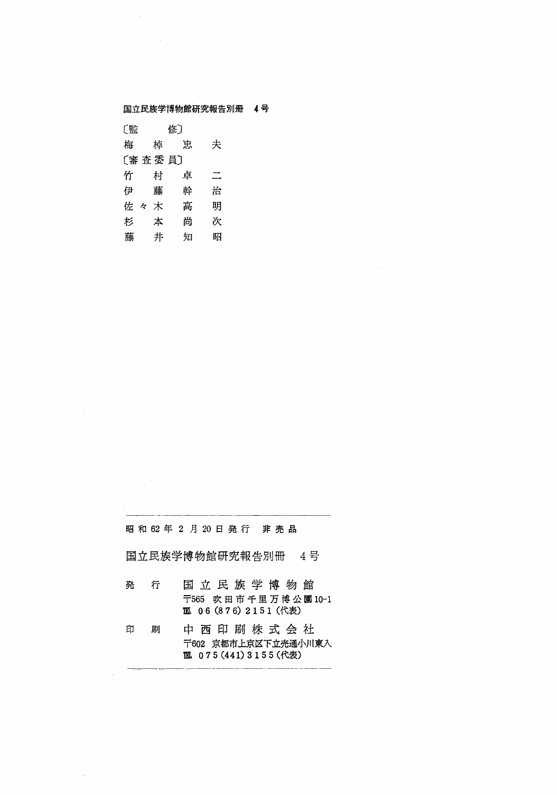国立民族学博物館研究報告別冊 4号

| 〔監        | 修〕 |   |   |  |  |
|-----------|----|---|---|--|--|
| 梅         | 棹  | 寓 | 夫 |  |  |
| 〔審 査 委 員〕 |    |   |   |  |  |
| 竹         | 村  | 卓 | ≍ |  |  |
| 伊         | 藤  | 幹 | 治 |  |  |
| 佐<br>k    | 木  | 髙 | 明 |  |  |
| 杉         | 本  | 尚 | 次 |  |  |
| 藤         | 井  | 知 | 昭 |  |  |

昭和62年2月20日発行 非売品

国立民族学博物館研究報告別冊 4号

- 発 行 国立民族学博物館 〒565 吹田市千里万博公園10-1 11 06 (876) 2151 (代表)
- 中西印刷株式会社 印 刷 〒602 京都市上京区下立売通小川東入 111 075 (441) 3155 (代表)

 $\mathcal{A}$